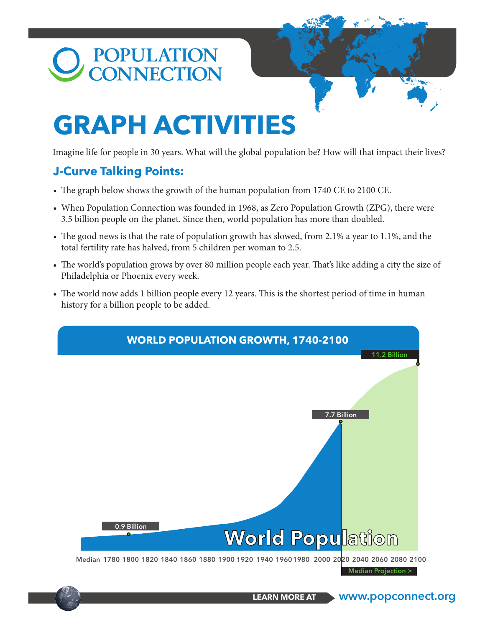# POPULATION<br>CONNECTION

## **GRAPH ACTIVITIES**

Imagine life for people in 30 years. What will the global population be? How will that impact their lives?

### **J-Curve Talking Points:**

- The graph below shows the growth of the human population from 1740 CE to 2100 CE.
- When Population Connection was founded in 1968, as Zero Population Growth (ZPG), there were 3.5 billion people on the planet. Since then, world population has more than doubled.
- The good news is that the rate of population growth has slowed, from 2.1% a year to 1.1%, and the total fertility rate has halved, from 5 children per woman to 2.5.
- The world's population grows by over 80 million people each year. That's like adding a city the size of Philadelphia or Phoenix every week.
- The world now adds 1 billion people every 12 years. This is the shortest period of time in human history for a billion people to be added.